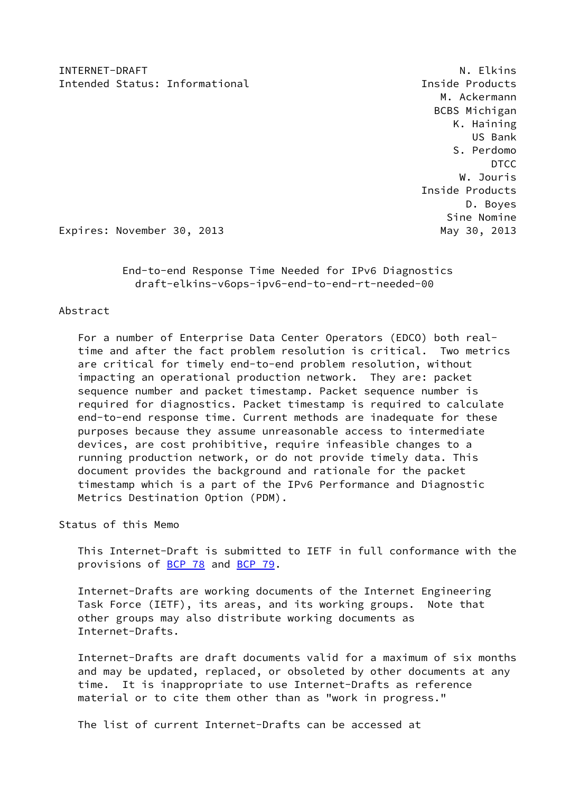INTERNET-DRAFT NEWSPAPE AND RELATIONS OF THE SERVICE SERVICE SERVICE SERVICE SERVICE SERVICE SERVICE SERVICE S Intended Status: Informational intended Status: Informational intended Products

 M. Ackermann BCBS Michigan K. Haining US Bank S. Perdomo **DTCC** DESCRIPTION OF THE RESERVE OF THE RESERVE OF THE RESERVE OF THE RESERVE OF THE RESERVE OF THE RESERVE OF THE RESERVE OF THE RESERVE OF THE RESERVE OF THE RESERVE OF THE RESERVE OF THE RESERVE OF THE RESERVE OF THE R W. Jouris Inside Products D. Boyes Sine Nomine

Expires: November 30, 2013 May 30, 2013

 End-to-end Response Time Needed for IPv6 Diagnostics draft-elkins-v6ops-ipv6-end-to-end-rt-needed-00

# Abstract

 For a number of Enterprise Data Center Operators (EDCO) both real time and after the fact problem resolution is critical. Two metrics are critical for timely end-to-end problem resolution, without impacting an operational production network. They are: packet sequence number and packet timestamp. Packet sequence number is required for diagnostics. Packet timestamp is required to calculate end-to-end response time. Current methods are inadequate for these purposes because they assume unreasonable access to intermediate devices, are cost prohibitive, require infeasible changes to a running production network, or do not provide timely data. This document provides the background and rationale for the packet timestamp which is a part of the IPv6 Performance and Diagnostic Metrics Destination Option (PDM).

Status of this Memo

 This Internet-Draft is submitted to IETF in full conformance with the provisions of [BCP 78](https://datatracker.ietf.org/doc/pdf/bcp78) and [BCP 79](https://datatracker.ietf.org/doc/pdf/bcp79).

 Internet-Drafts are working documents of the Internet Engineering Task Force (IETF), its areas, and its working groups. Note that other groups may also distribute working documents as Internet-Drafts.

 Internet-Drafts are draft documents valid for a maximum of six months and may be updated, replaced, or obsoleted by other documents at any time. It is inappropriate to use Internet-Drafts as reference material or to cite them other than as "work in progress."

The list of current Internet-Drafts can be accessed at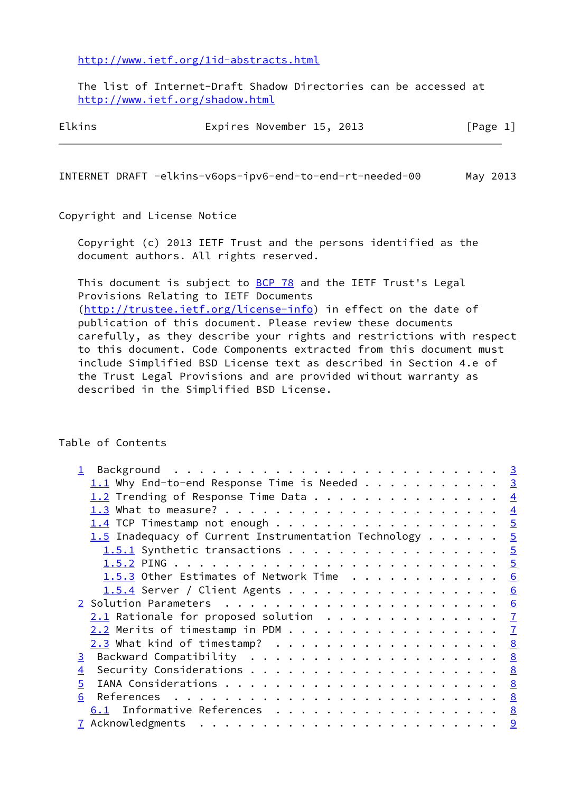<http://www.ietf.org/1id-abstracts.html>

 The list of Internet-Draft Shadow Directories can be accessed at <http://www.ietf.org/shadow.html>

| Elkins |  | Expires November 15, 2013 |  |  | [Page 1] |  |  |
|--------|--|---------------------------|--|--|----------|--|--|
|--------|--|---------------------------|--|--|----------|--|--|

INTERNET DRAFT -elkins-v6ops-ipv6-end-to-end-rt-needed-00 May 2013

Copyright and License Notice

 Copyright (c) 2013 IETF Trust and the persons identified as the document authors. All rights reserved.

This document is subject to **[BCP 78](https://datatracker.ietf.org/doc/pdf/bcp78)** and the IETF Trust's Legal Provisions Relating to IETF Documents [\(http://trustee.ietf.org/license-info](http://trustee.ietf.org/license-info)) in effect on the date of publication of this document. Please review these documents carefully, as they describe your rights and restrictions with respect to this document. Code Components extracted from this document must include Simplified BSD License text as described in Section 4.e of the Trust Legal Provisions and are provided without warranty as described in the Simplified BSD License.

Table of Contents

|   | $\overline{3}$                                                                                                                                                                                                                                                                                                                                                                                                |
|---|---------------------------------------------------------------------------------------------------------------------------------------------------------------------------------------------------------------------------------------------------------------------------------------------------------------------------------------------------------------------------------------------------------------|
|   | $\overline{4}$                                                                                                                                                                                                                                                                                                                                                                                                |
|   | $\overline{4}$                                                                                                                                                                                                                                                                                                                                                                                                |
|   |                                                                                                                                                                                                                                                                                                                                                                                                               |
|   |                                                                                                                                                                                                                                                                                                                                                                                                               |
|   |                                                                                                                                                                                                                                                                                                                                                                                                               |
|   |                                                                                                                                                                                                                                                                                                                                                                                                               |
|   | 6                                                                                                                                                                                                                                                                                                                                                                                                             |
|   | 6                                                                                                                                                                                                                                                                                                                                                                                                             |
|   | 6                                                                                                                                                                                                                                                                                                                                                                                                             |
|   |                                                                                                                                                                                                                                                                                                                                                                                                               |
|   |                                                                                                                                                                                                                                                                                                                                                                                                               |
|   |                                                                                                                                                                                                                                                                                                                                                                                                               |
|   |                                                                                                                                                                                                                                                                                                                                                                                                               |
| 4 |                                                                                                                                                                                                                                                                                                                                                                                                               |
| 5 | 8                                                                                                                                                                                                                                                                                                                                                                                                             |
| 6 |                                                                                                                                                                                                                                                                                                                                                                                                               |
|   |                                                                                                                                                                                                                                                                                                                                                                                                               |
|   |                                                                                                                                                                                                                                                                                                                                                                                                               |
|   | $1.1$ Why End-to-end Response Time is Needed<br>$1.2$ Trending of Response Time Data<br>1.5 Inadequacy of Current Instrumentation Technology $\frac{5}{2}$<br>1.5.1 Synthetic transactions 5<br>1.5.3 Other Estimates of Network Time<br>1.5.4 Server / Client Agents<br>$2.1$ Rationale for proposed solution $\frac{7}{2}$<br>$2.3$ What kind of timestamp? 8<br><u>6.1</u> Informative References <u>8</u> |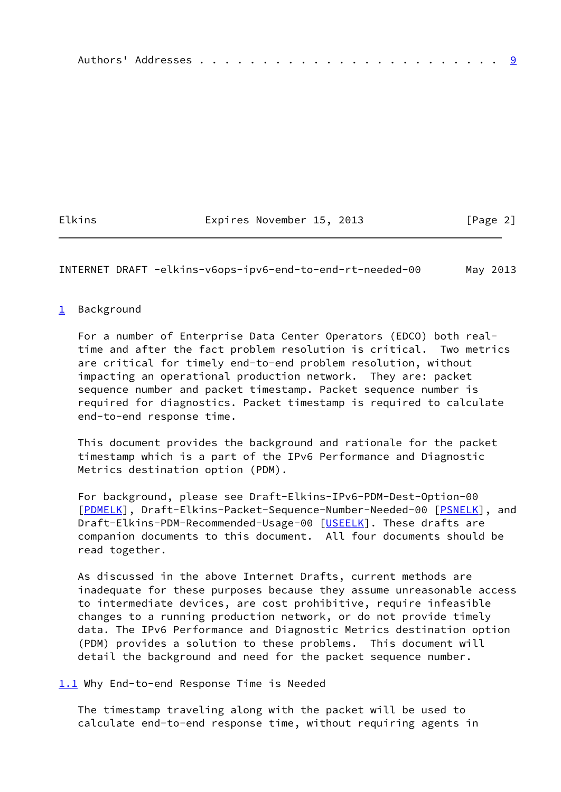|--|--|--|--|--|--|--|--|--|--|--|--|--|--|--|--|--|--|--|--|--|--|--|--|--|

Elkins **Expires November 15, 2013** [Page 2]

<span id="page-2-1"></span>INTERNET DRAFT -elkins-v6ops-ipv6-end-to-end-rt-needed-00 May 2013

## <span id="page-2-0"></span>[1](#page-2-0) Background

 For a number of Enterprise Data Center Operators (EDCO) both real time and after the fact problem resolution is critical. Two metrics are critical for timely end-to-end problem resolution, without impacting an operational production network. They are: packet sequence number and packet timestamp. Packet sequence number is required for diagnostics. Packet timestamp is required to calculate end-to-end response time.

 This document provides the background and rationale for the packet timestamp which is a part of the IPv6 Performance and Diagnostic Metrics destination option (PDM).

 For background, please see Draft-Elkins-IPv6-PDM-Dest-Option-00 [\[PDMELK](#page-9-2)], Draft-Elkins-Packet-Sequence-Number-Needed-00 [\[PSNELK](#page-9-3)], and Draft-Elkins-PDM-Recommended-Usage-00 [[USEELK](#page-9-4)]. These drafts are companion documents to this document. All four documents should be read together.

 As discussed in the above Internet Drafts, current methods are inadequate for these purposes because they assume unreasonable access to intermediate devices, are cost prohibitive, require infeasible changes to a running production network, or do not provide timely data. The IPv6 Performance and Diagnostic Metrics destination option (PDM) provides a solution to these problems. This document will detail the background and need for the packet sequence number.

<span id="page-2-2"></span>[1.1](#page-2-2) Why End-to-end Response Time is Needed

 The timestamp traveling along with the packet will be used to calculate end-to-end response time, without requiring agents in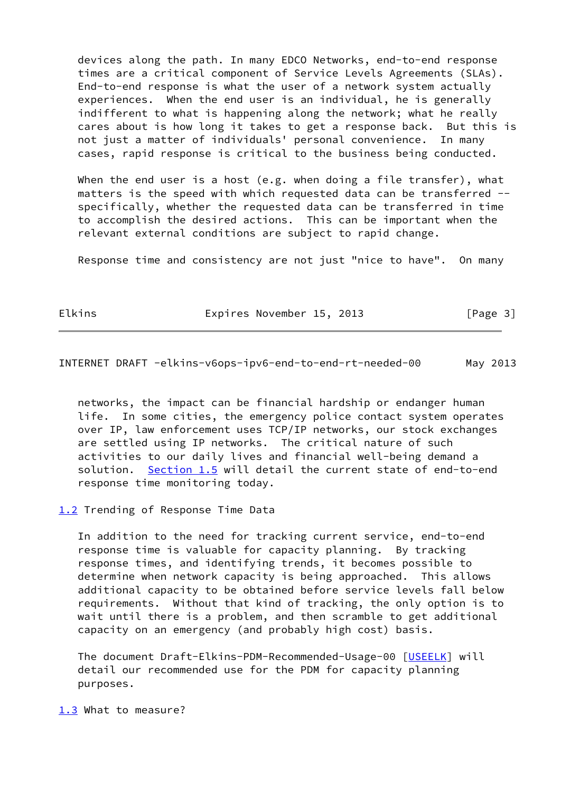devices along the path. In many EDCO Networks, end-to-end response times are a critical component of Service Levels Agreements (SLAs). End-to-end response is what the user of a network system actually experiences. When the end user is an individual, he is generally indifferent to what is happening along the network; what he really cares about is how long it takes to get a response back. But this is not just a matter of individuals' personal convenience. In many cases, rapid response is critical to the business being conducted.

When the end user is a host (e.g. when doing a file transfer), what matters is the speed with which requested data can be transferred - specifically, whether the requested data can be transferred in time to accomplish the desired actions. This can be important when the relevant external conditions are subject to rapid change.

Response time and consistency are not just "nice to have". On many

Elkins **Expires November 15, 2013** [Page 3]

<span id="page-3-1"></span>INTERNET DRAFT -elkins-v6ops-ipv6-end-to-end-rt-needed-00 May 2013

 networks, the impact can be financial hardship or endanger human life. In some cities, the emergency police contact system operates over IP, law enforcement uses TCP/IP networks, our stock exchanges are settled using IP networks. The critical nature of such activities to our daily lives and financial well-being demand a solution. <u>[Section 1.5](#page-5-0)</u> will detail the current state of end-to-end response time monitoring today.

<span id="page-3-0"></span>[1.2](#page-3-0) Trending of Response Time Data

 In addition to the need for tracking current service, end-to-end response time is valuable for capacity planning. By tracking response times, and identifying trends, it becomes possible to determine when network capacity is being approached. This allows additional capacity to be obtained before service levels fall below requirements. Without that kind of tracking, the only option is to wait until there is a problem, and then scramble to get additional capacity on an emergency (and probably high cost) basis.

 The document Draft-Elkins-PDM-Recommended-Usage-00 [[USEELK](#page-9-4)] will detail our recommended use for the PDM for capacity planning purposes.

<span id="page-3-2"></span>[1.3](#page-3-2) What to measure?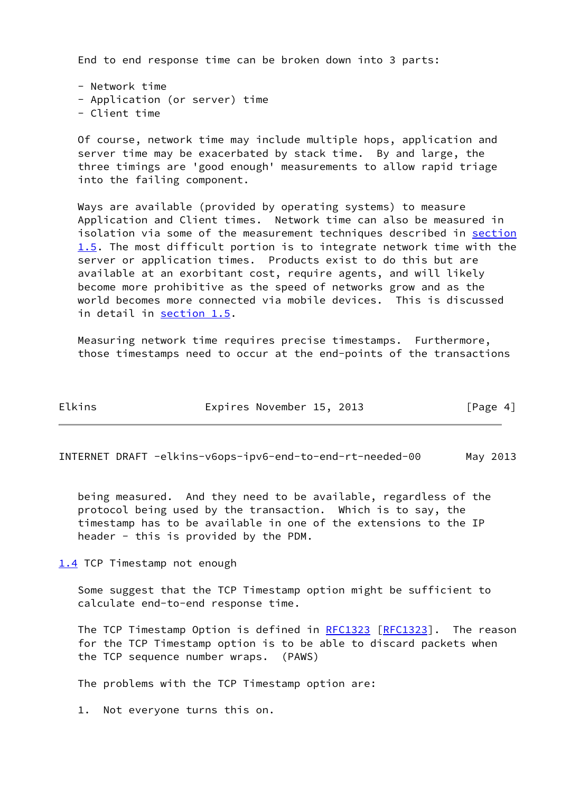End to end response time can be broken down into 3 parts:

 - Network time - Application (or server) time - Client time

 Of course, network time may include multiple hops, application and server time may be exacerbated by stack time. By and large, the three timings are 'good enough' measurements to allow rapid triage into the failing component.

 Ways are available (provided by operating systems) to measure Application and Client times. Network time can also be measured in isolation via some of the measurement techniques described in [section](#page-5-0) [1.5](#page-5-0). The most difficult portion is to integrate network time with the server or application times. Products exist to do this but are available at an exorbitant cost, require agents, and will likely become more prohibitive as the speed of networks grow and as the world becomes more connected via mobile devices. This is discussed in detail in [section 1.5](#page-5-0).

 Measuring network time requires precise timestamps. Furthermore, those timestamps need to occur at the end-points of the transactions

| ۹ |  |  |
|---|--|--|

Expires November 15, 2013 [Page 4]

<span id="page-4-1"></span>INTERNET DRAFT -elkins-v6ops-ipv6-end-to-end-rt-needed-00 May 2013

 being measured. And they need to be available, regardless of the protocol being used by the transaction. Which is to say, the timestamp has to be available in one of the extensions to the IP header - this is provided by the PDM.

<span id="page-4-0"></span>[1.4](#page-4-0) TCP Timestamp not enough

 Some suggest that the TCP Timestamp option might be sufficient to calculate end-to-end response time.

 The TCP Timestamp Option is defined in [RFC1323](https://datatracker.ietf.org/doc/pdf/rfc1323) [\[RFC1323](https://datatracker.ietf.org/doc/pdf/rfc1323)]. The reason for the TCP Timestamp option is to be able to discard packets when the TCP sequence number wraps. (PAWS)

The problems with the TCP Timestamp option are:

1. Not everyone turns this on.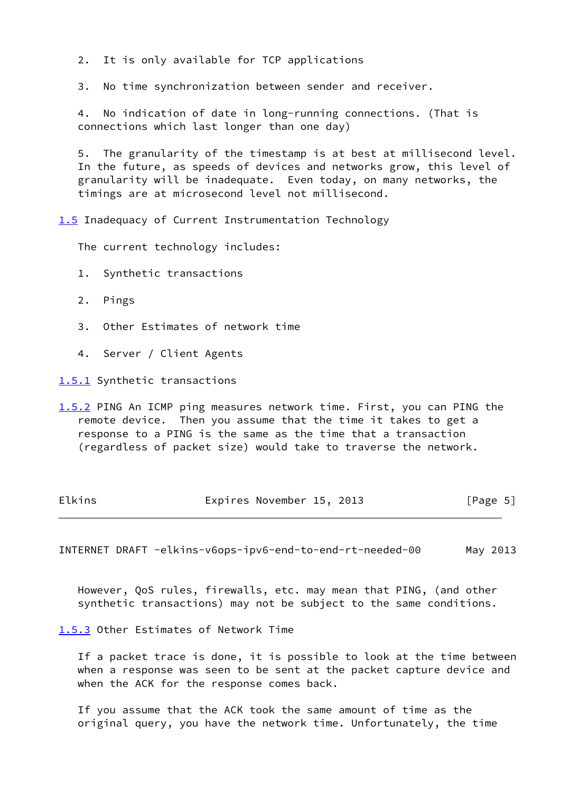2. It is only available for TCP applications

3. No time synchronization between sender and receiver.

 4. No indication of date in long-running connections. (That is connections which last longer than one day)

 5. The granularity of the timestamp is at best at millisecond level. In the future, as speeds of devices and networks grow, this level of granularity will be inadequate. Even today, on many networks, the timings are at microsecond level not millisecond.

<span id="page-5-0"></span>[1.5](#page-5-0) Inadequacy of Current Instrumentation Technology

The current technology includes:

- 1. Synthetic transactions
- 2. Pings
- 3. Other Estimates of network time
- 4. Server / Client Agents

<span id="page-5-1"></span>[1.5.1](#page-5-1) Synthetic transactions

<span id="page-5-2"></span>[1.5.2](#page-5-2) PING An ICMP ping measures network time. First, you can PING the remote device. Then you assume that the time it takes to get a response to a PING is the same as the time that a transaction (regardless of packet size) would take to traverse the network.

| Elkins |                           |  |          |  |
|--------|---------------------------|--|----------|--|
|        | Expires November 15, 2013 |  | [Page 5] |  |

<span id="page-5-4"></span>INTERNET DRAFT -elkins-v6ops-ipv6-end-to-end-rt-needed-00 May 2013

 However, QoS rules, firewalls, etc. may mean that PING, (and other synthetic transactions) may not be subject to the same conditions.

<span id="page-5-3"></span>[1.5.3](#page-5-3) Other Estimates of Network Time

 If a packet trace is done, it is possible to look at the time between when a response was seen to be sent at the packet capture device and when the ACK for the response comes back.

 If you assume that the ACK took the same amount of time as the original query, you have the network time. Unfortunately, the time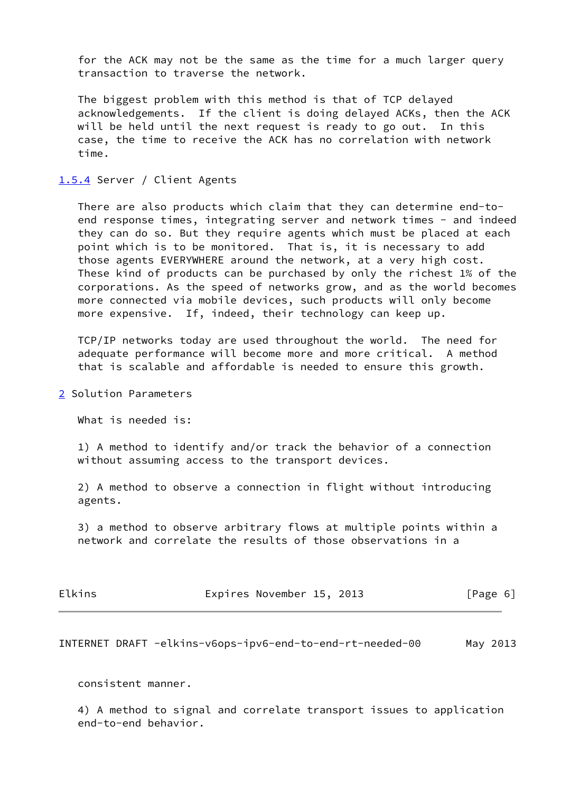for the ACK may not be the same as the time for a much larger query transaction to traverse the network.

 The biggest problem with this method is that of TCP delayed acknowledgements. If the client is doing delayed ACKs, then the ACK will be held until the next request is ready to go out. In this case, the time to receive the ACK has no correlation with network time.

### <span id="page-6-0"></span>[1.5.4](#page-6-0) Server / Client Agents

 There are also products which claim that they can determine end-to end response times, integrating server and network times - and indeed they can do so. But they require agents which must be placed at each point which is to be monitored. That is, it is necessary to add those agents EVERYWHERE around the network, at a very high cost. These kind of products can be purchased by only the richest 1% of the corporations. As the speed of networks grow, and as the world becomes more connected via mobile devices, such products will only become more expensive. If, indeed, their technology can keep up.

 TCP/IP networks today are used throughout the world. The need for adequate performance will become more and more critical. A method that is scalable and affordable is needed to ensure this growth.

<span id="page-6-1"></span>[2](#page-6-1) Solution Parameters

What is needed is:

 1) A method to identify and/or track the behavior of a connection without assuming access to the transport devices.

 2) A method to observe a connection in flight without introducing agents.

 3) a method to observe arbitrary flows at multiple points within a network and correlate the results of those observations in a

| Elkins | Expires November 15, 2013 |  | [Page 6] |  |
|--------|---------------------------|--|----------|--|
|        |                           |  |          |  |

<span id="page-6-2"></span>INTERNET DRAFT -elkins-v6ops-ipv6-end-to-end-rt-needed-00 May 2013

consistent manner.

 4) A method to signal and correlate transport issues to application end-to-end behavior.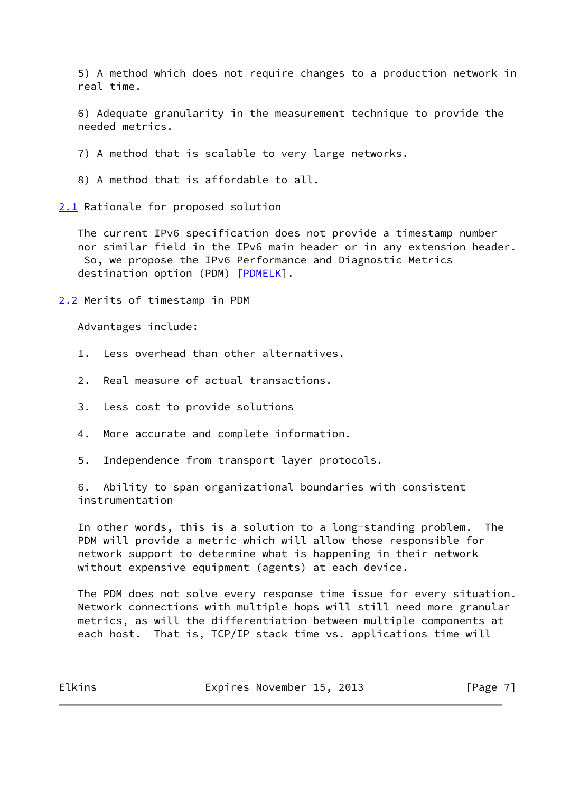5) A method which does not require changes to a production network in real time.

 6) Adequate granularity in the measurement technique to provide the needed metrics.

7) A method that is scalable to very large networks.

8) A method that is affordable to all.

<span id="page-7-0"></span>[2.1](#page-7-0) Rationale for proposed solution

 The current IPv6 specification does not provide a timestamp number nor similar field in the IPv6 main header or in any extension header. So, we propose the IPv6 Performance and Diagnostic Metrics destination option (PDM) [\[PDMELK](#page-9-2)].

<span id="page-7-1"></span>[2.2](#page-7-1) Merits of timestamp in PDM

Advantages include:

- 1. Less overhead than other alternatives.
- 2. Real measure of actual transactions.
- 3. Less cost to provide solutions
- 4. More accurate and complete information.

5. Independence from transport layer protocols.

 6. Ability to span organizational boundaries with consistent instrumentation

 In other words, this is a solution to a long-standing problem. The PDM will provide a metric which will allow those responsible for network support to determine what is happening in their network without expensive equipment (agents) at each device.

 The PDM does not solve every response time issue for every situation. Network connections with multiple hops will still need more granular metrics, as will the differentiation between multiple components at each host. That is, TCP/IP stack time vs. applications time will

Elkins **Expires November 15, 2013** [Page 7]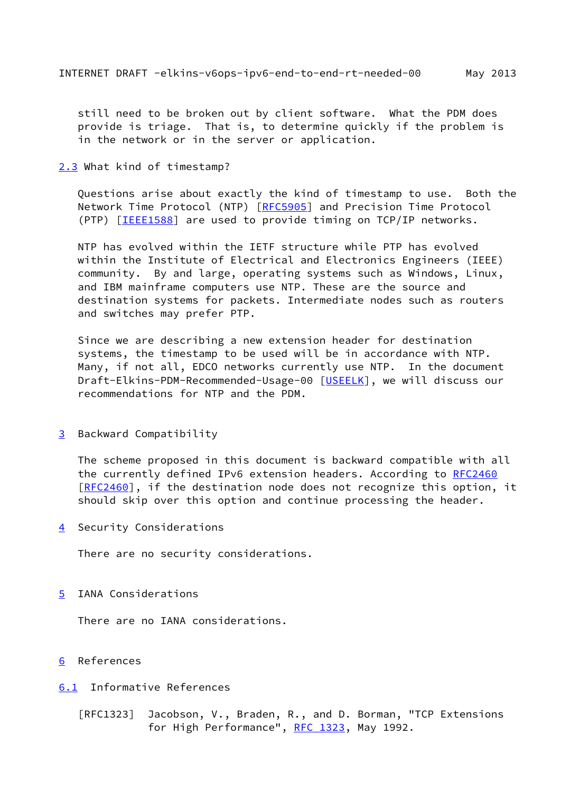<span id="page-8-1"></span> still need to be broken out by client software. What the PDM does provide is triage. That is, to determine quickly if the problem is in the network or in the server or application.

<span id="page-8-0"></span>[2.3](#page-8-0) What kind of timestamp?

 Questions arise about exactly the kind of timestamp to use. Both the Network Time Protocol (NTP) [\[RFC5905](https://datatracker.ietf.org/doc/pdf/rfc5905)] and Precision Time Protocol (PTP) [[IEEE1588\]](#page-9-5) are used to provide timing on TCP/IP networks.

 NTP has evolved within the IETF structure while PTP has evolved within the Institute of Electrical and Electronics Engineers (IEEE) community. By and large, operating systems such as Windows, Linux, and IBM mainframe computers use NTP. These are the source and destination systems for packets. Intermediate nodes such as routers and switches may prefer PTP.

 Since we are describing a new extension header for destination systems, the timestamp to be used will be in accordance with NTP. Many, if not all, EDCO networks currently use NTP. In the document Draft-Elkins-PDM-Recommended-Usage-00 [[USEELK](#page-9-4)], we will discuss our recommendations for NTP and the PDM.

<span id="page-8-2"></span>[3](#page-8-2) Backward Compatibility

 The scheme proposed in this document is backward compatible with all the currently defined IPv6 extension headers. According to [RFC2460](https://datatracker.ietf.org/doc/pdf/rfc2460) [\[RFC2460](https://datatracker.ietf.org/doc/pdf/rfc2460)], if the destination node does not recognize this option, it should skip over this option and continue processing the header.

<span id="page-8-3"></span>[4](#page-8-3) Security Considerations

There are no security considerations.

<span id="page-8-4"></span>[5](#page-8-4) IANA Considerations

There are no IANA considerations.

- <span id="page-8-5"></span>[6](#page-8-5) References
- <span id="page-8-6"></span>[6.1](#page-8-6) Informative References
	- [RFC1323] Jacobson, V., Braden, R., and D. Borman, "TCP Extensions for High Performance", [RFC 1323](https://datatracker.ietf.org/doc/pdf/rfc1323), May 1992.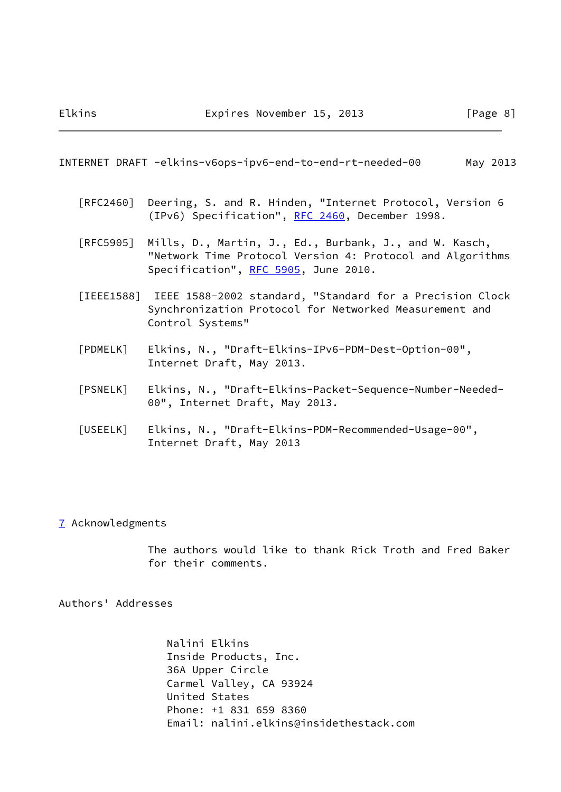#### <span id="page-9-1"></span>INTERNET DRAFT -elkins-v6ops-ipv6-end-to-end-rt-needed-00 May 2013

- [RFC2460] Deering, S. and R. Hinden, "Internet Protocol, Version 6 (IPv6) Specification", [RFC 2460](https://datatracker.ietf.org/doc/pdf/rfc2460), December 1998.
- [RFC5905] Mills, D., Martin, J., Ed., Burbank, J., and W. Kasch, "Network Time Protocol Version 4: Protocol and Algorithms Specification", [RFC 5905,](https://datatracker.ietf.org/doc/pdf/rfc5905) June 2010.
- <span id="page-9-5"></span> [IEEE1588] IEEE 1588-2002 standard, "Standard for a Precision Clock Synchronization Protocol for Networked Measurement and Control Systems"
- <span id="page-9-2"></span> [PDMELK] Elkins, N., "Draft-Elkins-IPv6-PDM-Dest-Option-00", Internet Draft, May 2013.
- <span id="page-9-3"></span> [PSNELK] Elkins, N., "Draft-Elkins-Packet-Sequence-Number-Needed- 00", Internet Draft, May 2013.
- <span id="page-9-4"></span> [USEELK] Elkins, N., "Draft-Elkins-PDM-Recommended-Usage-00", Internet Draft, May 2013

### <span id="page-9-0"></span>[7](#page-9-0) Acknowledgments

 The authors would like to thank Rick Troth and Fred Baker for their comments.

Authors' Addresses

 Nalini Elkins Inside Products, Inc. 36A Upper Circle Carmel Valley, CA 93924 United States Phone: +1 831 659 8360 Email: nalini.elkins@insidethestack.com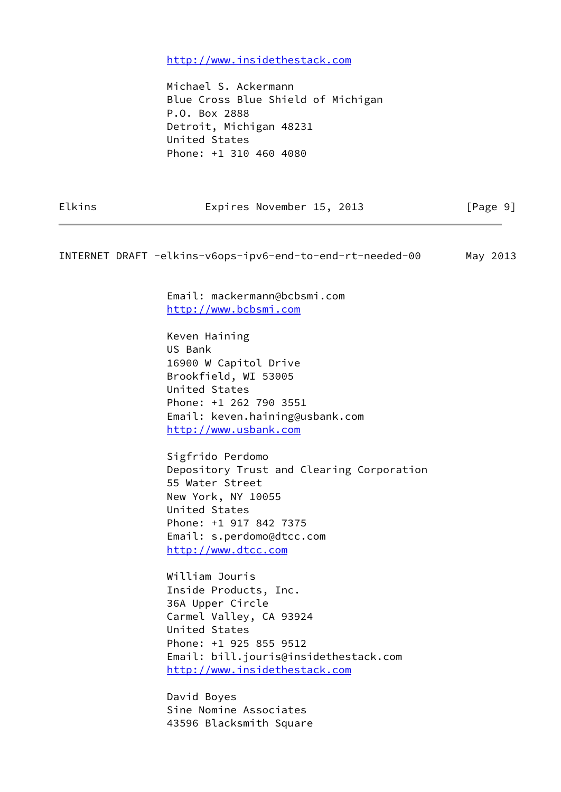<http://www.insidethestack.com>

 Michael S. Ackermann Blue Cross Blue Shield of Michigan P.O. Box 2888 Detroit, Michigan 48231 United States Phone: +1 310 460 4080

Elkins **Expires November 15, 2013** [Page 9]

INTERNET DRAFT -elkins-v6ops-ipv6-end-to-end-rt-needed-00 May 2013

 Email: mackermann@bcbsmi.com <http://www.bcbsmi.com>

 Keven Haining US Bank 16900 W Capitol Drive Brookfield, WI 53005 United States Phone: +1 262 790 3551 Email: keven.haining@usbank.com <http://www.usbank.com>

 Sigfrido Perdomo Depository Trust and Clearing Corporation 55 Water Street New York, NY 10055 United States Phone: +1 917 842 7375 Email: s.perdomo@dtcc.com <http://www.dtcc.com>

 William Jouris Inside Products, Inc. 36A Upper Circle Carmel Valley, CA 93924 United States Phone: +1 925 855 9512 Email: bill.jouris@insidethestack.com <http://www.insidethestack.com>

 David Boyes Sine Nomine Associates 43596 Blacksmith Square